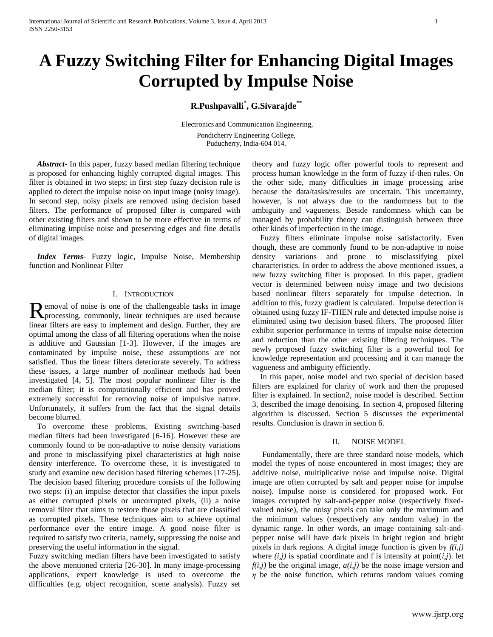# **A Fuzzy Switching Filter for Enhancing Digital Images Corrupted by Impulse Noise**

# **R.Pushpavalli\* , G.Sivarajde\*\***

Electronics and Communication Engineering, Pondicherry Engineering College, Puducherry, India-604 014.

 *Abstract***-** In this paper, fuzzy based median filtering technique is proposed for enhancing highly corrupted digital images. This filter is obtained in two steps; in first step fuzzy decision rule is applied to detect the impulse noise on input image (noisy image). In second step, noisy pixels are removed using decision based filters. The performance of proposed filter is compared with other existing filters and shown to be more effective in terms of eliminating impulse noise and preserving edges and fine details of digital images.

 *Index Terms*- Fuzzy logic, Impulse Noise, Membership function and Nonlinear Filter

# I. INTRODUCTION

**P** emoval of noise is one of the challengeable tasks in image Removal of noise is one of the challengeable tasks in image<br>processing. commonly, linear techniques are used because linear filters are easy to implement and design. Further, they are optimal among the class of all filtering operations when the noise is additive and Gaussian [1-3]. However, if the images are contaminated by impulse noise, these assumptions are not satisfied. Thus the linear filters deteriorate severely. To address these issues, a large number of nonlinear methods had been investigated [4, 5]. The most popular nonlinear filter is the median filter; it is computationally efficient and has proved extremely successful for removing noise of impulsive nature. Unfortunately, it suffers from the fact that the signal details become blurred.

 To overcome these problems, Existing switching-based median filters had been investigated [6-16]. However these are commonly found to be non-adaptive to noise density variations and prone to misclassifying pixel characteristics at high noise density interference. To overcome these, it is investigated to study and examine new decision based filtering schemes [17-25]. The decision based filtering procedure consists of the following two steps: (i) an impulse detector that classifies the input pixels as either corrupted pixels or uncorrupted pixels, (ii) a noise removal filter that aims to restore those pixels that are classified as corrupted pixels. These techniques aim to achieve optimal performance over the entire image. A good noise filter is required to satisfy two criteria, namely, suppressing the noise and preserving the useful information in the signal.

Fuzzy switching median filters have been investigated to satisfy the above mentioned criteria [26-30]. In many image-processing applications, expert knowledge is used to overcome the difficulties (e.g. object recognition, scene analysis). Fuzzy set

theory and fuzzy logic offer powerful tools to represent and process human knowledge in the form of fuzzy if-then rules. On the other side, many difficulties in image processing arise because the data/tasks/results are uncertain. This uncertainty, however, is not always due to the randomness but to the ambiguity and vagueness. Beside randomness which can be managed by probability theory can distinguish between three other kinds of imperfection in the image.

 Fuzzy filters eliminate impulse noise satisfactorily. Even though, these are commonly found to be non-adaptive to noise density variations and prone to misclassifying pixel characteristics. In order to address the above mentioned issues, a new fuzzy switching filter is proposed. In this paper, gradient vector is determined between noisy image and two decisions based nonlinear filters separately for impulse detection. In addition to this, fuzzy gradient is calculated. Impulse detection is obtained using fuzzy IF-THEN rule and detected impulse noise is eliminated using two decision based filters. The proposed filter exhibit superior performance in terms of impulse noise detection and reduction than the other existing filtering techniques. The newly proposed fuzzy switching filter is a powerful tool for knowledge representation and processing and it can manage the vagueness and ambiguity efficiently.

 In this paper, noise model and two special of decision based filters are explained for clarity of work and then the proposed filter is explained. In section2, noise model is described. Section 3, described the image denoising. In section 4, proposed filtering algorithm is discussed. Section 5 discusses the experimental results. Conclusion is drawn in section 6.

# II. NOISE MODEL

 Fundamentally, there are three standard noise models, which model the types of noise encountered in most images; they are additive noise, multiplicative noise and impulse noise. Digital image are often corrupted by salt and pepper noise (or impulse noise). Impulse noise is considered for proposed work. For images corrupted by salt-and-pepper noise (respectively fixedvalued noise), the noisy pixels can take only the maximum and the minimum values (respectively any random value) in the dynamic range. In other words, an image containing salt-andpepper noise will have dark pixels in bright region and bright pixels in dark regions. A digital image function is given by  $f(i,j)$ where  $(i,j)$  is spatial coordinate and f is intensity at point $(i,j)$ . let  $f(i,j)$  be the original image,  $a(i,j)$  be the noise image version and  $\eta$  be the noise function, which returns random values coming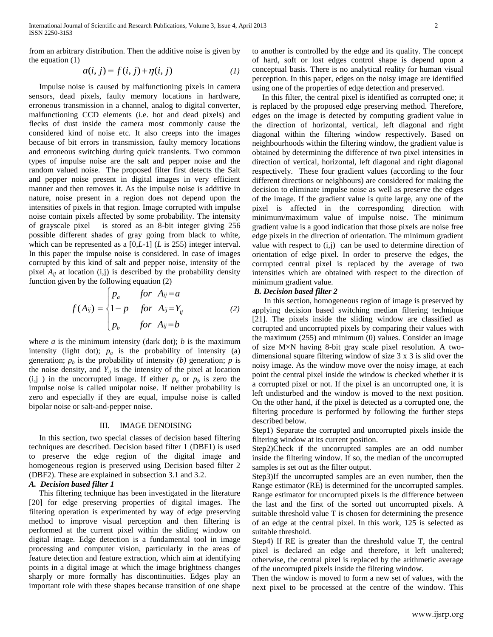from an arbitrary distribution. Then the additive noise is given by the equation (1)

$$
a(i, j) = f(i, j) + \eta(i, j)
$$
 (1)

 Impulse noise is caused by malfunctioning pixels in camera sensors, dead pixels, faulty memory locations in hardware, erroneous transmission in a channel, analog to digital converter, malfunctioning CCD elements (i.e. hot and dead pixels) and flecks of dust inside the camera most commonly cause the considered kind of noise etc. It also creeps into the images because of bit errors in transmission, faulty memory locations and erroneous switching during quick transients. Two common types of impulse noise are the salt and pepper noise and the random valued noise. The proposed filter first detects the Salt and pepper noise present in digital images in very efficient manner and then removes it. As the impulse noise is additive in nature, noise present in a region does not depend upon the intensities of pixels in that region. Image corrupted with impulse noise contain pixels affected by some probability. The intensity of grayscale pixel is stored as an 8-bit integer giving 256 possible different shades of gray going from black to white, which can be represented as a [0,*L*-1] (*L* is 255) integer interval. In this paper the impulse noise is considered. In case of images corrupted by this kind of salt and pepper noise, intensity of the pixel  $A_{ii}$  at location (i,j) is described by the probability density

function given by the following equation (2)  
\n
$$
f(A_{ij}) = \begin{cases} p_a & \text{for } A_{ij} = a \\ 1-p & \text{for } A_{ij} = Y_{ij} \\ p_b & \text{for } A_{ij} = b \end{cases}
$$
 (2)

where  $a$  is the minimum intensity (dark dot);  $b$  is the maximum intensity (light dot);  $p_a$  is the probability of intensity (a) generation;  $p<sub>b</sub>$  is the probability of intensity (*b*) generation; *p* is the noise density, and  $Y_{ij}$  is the intensity of the pixel at location  $(i, j)$  in the uncorrupted image. If either  $p_a$  or  $p_b$  is zero the impulse noise is called unipolar noise. If neither probability is zero and especially if they are equal, impulse noise is called bipolar noise or salt-and-pepper noise.

#### III. IMAGE DENOISING

 In this section, two special classes of decision based filtering techniques are described. Decision based filter 1 (DBF1) is used to preserve the edge region of the digital image and homogeneous region is preserved using Decision based filter 2 (DBF2). These are explained in subsection 3.1 and 3.2.

## *A. Decision based filter 1*

 This filtering technique has been investigated in the literature [20] for edge preserving properties of digital images. The filtering operation is experimented by way of edge preserving method to improve visual perception and then filtering is performed at the current pixel within the sliding window on digital image. Edge detection is a fundamental tool in [image](http://en.wikipedia.org/wiki/Image_processing)  [processing](http://en.wikipedia.org/wiki/Image_processing) and [computer vision,](http://en.wikipedia.org/wiki/Computer_vision) particularly in the areas of [feature detection](http://en.wikipedia.org/wiki/Feature_detection_%28computer_vision%29) and [feature extraction,](http://en.wikipedia.org/wiki/Feature_extraction) which aim at identifying points in a [digital image](http://en.wikipedia.org/wiki/Digital_image) at which the [image brightness](http://en.wikipedia.org/wiki/Luminous_intensity) changes sharply or more formally has discontinuities. Edges play an important role with these shapes because transition of one shape

to another is controlled by the edge and its quality. The concept of hard, soft or lost edges control shape is depend upon a conceptual basis. There is no analytical reality for human visual perception. In this paper, edges on the noisy image are identified using one of the properties of edge detection and preserved.

 In this filter, the central pixel is identified as corrupted one; it is replaced by the proposed edge preserving method. Therefore, edges on the image is detected by computing gradient value in the direction of horizontal, vertical, left diagonal and right diagonal within the filtering window respectively. Based on neighbourhoods within the filtering window, the gradient value is obtained by determining the difference of two pixel intensities in direction of vertical, horizontal, left diagonal and right diagonal respectively. These four gradient values (according to the four different directions or neighbours) are considered for making the decision to eliminate impulse noise as well as preserve the edges of the image. If the gradient value is quite large, any one of the pixel is affected in the corresponding direction with minimum/maximum value of impulse noise. The minimum gradient value is a good indication that those pixels are noise free edge pixels in the direction of orientation. The minimum gradient value with respect to  $(i,j)$  can be used to determine direction of orientation of edge pixel. In order to preserve the edges, the corrupted central pixel is replaced by the average of two intensities which are obtained with respect to the direction of minimum gradient value.

#### *B. Decision based filter 2*

In this section, homogeneous region of image is preserved by applying decision based switching median filtering technique [21]. The pixels inside the sliding window are classified as corrupted and uncorrupted pixels by comparing their values with the maximum (255) and minimum (0) values. Consider an image of size M×N having 8-bit gray scale pixel resolution. A twodimensional square filtering window of size 3 x 3 is slid over the noisy image. As the window move over the noisy image, at each point the central pixel inside the window is checked whether it is a corrupted pixel or not. If the pixel is an uncorrupted one, it is left undisturbed and the window is moved to the next position. On the other hand, if the pixel is detected as a corrupted one, the filtering procedure is performed by following the further steps described below.

Step1) Separate the corrupted and uncorrupted pixels inside the filtering window at its current position.

Step2)Check if the uncorrupted samples are an odd number inside the filtering window. If so, the median of the uncorrupted samples is set out as the filter output.

Step3)If the uncorrupted samples are an even number, then the Range estimator (RE) is determined for the uncorrupted samples. Range estimator for uncorrupted pixels is the difference between the last and the first of the sorted out uncorrupted pixels. A suitable threshold value T is chosen for determining the presence of an edge at the central pixel. In this work, 125 is selected as suitable threshold.

Step4) If RE is greater than the threshold value T, the central pixel is declared an edge and therefore, it left unaltered; otherwise, the central pixel is replaced by the arithmetic average of the uncorrupted pixels inside the filtering window.

Then the window is moved to form a new set of values, with the next pixel to be processed at the centre of the window. This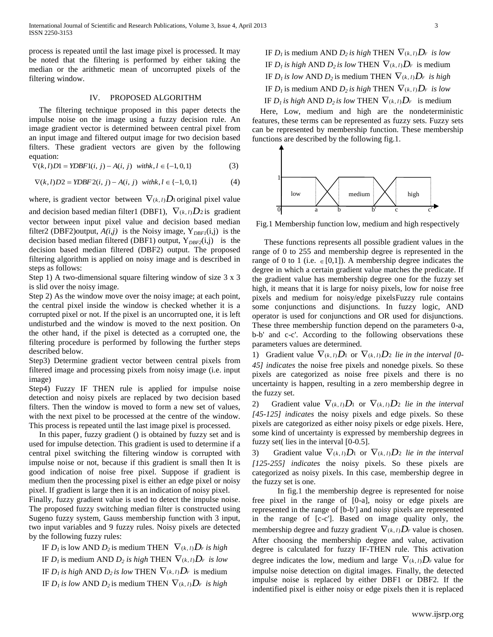process is repeated until the last image pixel is processed. It may be noted that the filtering is performed by either taking the median or the arithmetic mean of uncorrupted pixels of the filtering window.

# IV. PROPOSED ALGORITHM

 The filtering technique proposed in this paper detects the impulse noise on the image using a fuzzy decision rule. An image gradient vector is determined between central pixel from an input image and filtered output image for two decision based filters. These gradient vectors are given by the following equation: quation:<br>  $\nabla(k, l)D1 = YDBF1(i, j) - A(i, j) \text{ with } k, l \in \{-1, 0, 1\}$  (3)

$$
\nabla(k, l)D1 = YDBF1(i, j) - A(i, j) \text{ with } k, l \in \{-1, 0, 1\}
$$
 (3)

$$
\nabla(k, l)D1 = IDBF1(l, j) - A(l, j) \quad \text{with, } l \in \{-1, 0, 1\}
$$
\n
$$
\nabla(k, l)D2 = YDBF2(i, j) - A(i, j) \quad \text{with } k, l \in \{-1, 0, 1\}
$$
\n
$$
(4)
$$

where, is gradient vector between  $\nabla_{(k, l)}D_1$  original pixel value and decision based median filter1 (DBF1),  $\nabla_{(k,l)}D_2$  is gradient vector between input pixel value and decision based median filter2 (DBF2)output,  $A(i,j)$  is the Noisy image,  $Y_{DBFI}(i,j)$  is the decision based median filtered (DBF1) output, Y*DBF2*(i,j) is the decision based median filtered (DBF2) output. The proposed filtering algorithm is applied on noisy image and is described in steps as follows:

Step 1) A two-dimensional square filtering window of size 3 x 3 is slid over the noisy image.

Step 2) As the window move over the noisy image; at each point, the central pixel inside the window is checked whether it is a corrupted pixel or not. If the pixel is an uncorrupted one, it is left undisturbed and the window is moved to the next position. On the other hand, if the pixel is detected as a corrupted one, the filtering procedure is performed by following the further steps described below.

Step3) Determine gradient vector between central pixels from filtered image and processing pixels from noisy image (i.e. input image)

Step4) Fuzzy IF THEN rule is applied for impulse noise detection and noisy pixels are replaced by two decision based filters. Then the window is moved to form a new set of values, with the next pixel to be processed at the centre of the window. This process is repeated until the last image pixel is processed.

 In this paper, fuzzy gradient () is obtained by fuzzy set and is used for impulse detection. This gradient is used to determine if a central pixel switching the filtering window is corrupted with impulse noise or not, because if this gradient is small then It is good indication of noise free pixel. Suppose if gradient is medium then the processing pixel is either an edge pixel or noisy pixel. If gradient is large then it is an indication of noisy pixel.

Finally, fuzzy gradient value is used to detect the impulse noise. The proposed fuzzy switching median filter is constructed using Sugeno fuzzy system, Gauss membership function with 3 input, two input variables and 9 fuzzy rules. Noisy pixels are detected by the following fuzzy rules:

IF  $D_l$  is low AND  $D_2$  is medium THEN  $\nabla_{(k, l)} D_r$  is high IF  $D_l$  is medium AND  $D_2$  *is high* THEN  $\nabla_{(k, l)}D_r$  *is low* IF  $D_l$  *is high* AND  $D_2$  *is low* THEN  $\nabla_{(k, l)}D_r$  *is medium* IF  $D_l$  *is low AND*  $D_2$  *is medium THEN*  $\nabla_{(k,l)} D_F$  *is high* 

IF  $D_l$  is medium AND  $D_2$  *is high* THEN  $\nabla_{(k, l)} D_r$  *is low* IF  $D_l$  *is high* AND  $D_2$  *is low THEN*  $\nabla_{(k,l)}D_r$  *is medium* IF  $D_l$  *is low AND*  $D_2$  *is medium THEN*  $\nabla_{(k, l)} D_r$  *is high* IF  $D_l$  is medium AND  $D_2$  *is high* THEN  $\nabla_{(k, l)} D_r$  *is low* IF  $D_l$  *is high* AND  $D_2$  *is low THEN*  $\nabla_{(k, l)} D_F$  *is medium* 

 Here, Low, medium and high are the nondeterministic features, these terms can be represented as fuzzy sets. Fuzzy sets can be represented by membership function. These membership functions are described by the following fig.1.



Fig.1 Membership function low, medium and high respectively

 These functions represents all possible gradient values in the range of 0 to 255 and membership degree is represented in the range of 0 to 1 (i.e.  $\in [0,1]$ ). A membership degree indicates the degree in which a certain gradient value matches the predicate. If the gradient value has membership degree one for the fuzzy set high, it means that it is large for noisy pixels, low for noise free pixels and medium for noisy/edge pixelsFuzzy rule contains some conjunctions and disjunctions. In fuzzy logic, AND operator is used for conjunctions and OR used for disjunctions. These three membership function depend on the parameters 0-a, b-b' and c-c'. According to the following observations these parameters values are determined.

1) Gradient value  $\nabla_{(k, l)}D_1$  or  $\nabla_{(k, l)}D_2$  *lie in the interval [0-45] indicates* the noise free pixels and nonedge pixels. So these pixels are categorized as noise free pixels and there is no uncertainty is happen, resulting in a zero membership degree in the fuzzy set.

2) Gradient value  $\nabla_{(k, l)}D_1$  or  $\nabla_{(k, l)}D_2$  *lie in the interval [45-125] indicates* the noisy pixels and edge pixels. So these pixels are categorized as either noisy pixels or edge pixels. Here, some kind of uncertainty is expressed by membership degrees in fuzzy set( lies in the interval [0-0.5].

3) Gradient value  $\nabla_{(k,l)}D_1$  or  $\nabla_{(k,l)}D_2$  *lie in the interval [125-255] indicates* the noisy pixels. So these pixels are categorized as noisy pixels. In this case, membership degree in the fuzzy set is one.

In fig.1 the membership degree is represented for noise free pixel in the range of [0-a], noisy or edge pixels are represented in the range of [b-b'] and noisy pixels are represented in the range of [c-c']. Based on image quality only, the membership degree and fuzzy gradient  $\nabla_{(k, l)}D_F$  value is chosen. After choosing the membership degree and value, activation degree is calculated for fuzzy IF-THEN rule. This activation degree indicates the low, medium and large  $\nabla_{(k,l)}D_F$  value for impulse noise detection on digital images. Finally, the detected impulse noise is replaced by either DBF1 or DBF2. If the indentified pixel is either noisy or edge pixels then it is replaced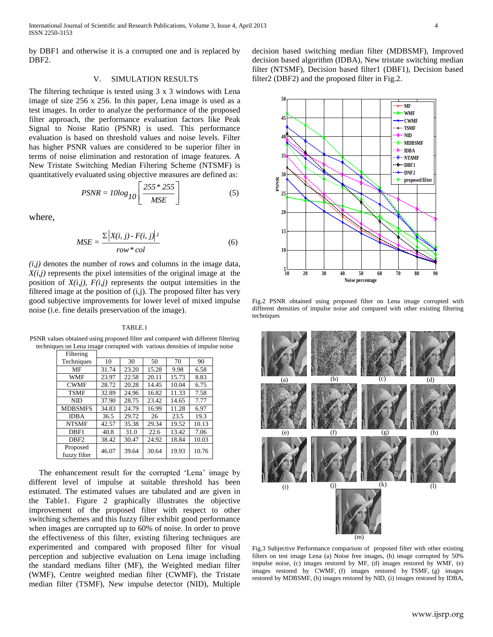by DBF1 and otherwise it is a corrupted one and is replaced by DBF<sub>2</sub>.

# V. SIMULATION RESULTS

The filtering technique is tested using 3 x 3 windows with Lena image of size 256 x 256. In this paper, Lena image is used as a test images. In order to analyze the performance of the proposed filter approach, the performance evaluation factors like Peak Signal to Noise Ratio (PSNR) is used. This performance evaluation is based on threshold values and noise levels. Filter has higher PSNR values are considered to be superior filter in terms of noise elimination and restoration of image features. A New Tristate Switching Median Filtering Scheme (NTSMF) is quantitatively evaluated using objective measures are defined as:<br> $\left[255 * 255\right]$ 

$$
PSNR = 10\log_{10}\left[\frac{255 * 255}{MSE}\right]
$$
 (5)

where,

$$
MSE = \frac{\sum |X(i, j) - F(i, j)|^2}{row * col}
$$
 (6)

 $(i,j)$  denotes the number of rows and columns in the image data,  $X(i,j)$  represents the pixel intensities of the original image at the position of  $X(i,j)$ ,  $F(i,j)$  represents the output intensities in the filtered image at the position of (i,j). The proposed filter has very good subjective improvements for lower level of mixed impulse noise (i.e. fine details preservation of the image).

#### TABLE.1

PSNR values obtained using proposed filter and compared with different filtering techniques on Lena image corrupted with various densities of impulse noise

| Filtering                |       |       |       |       |       |
|--------------------------|-------|-------|-------|-------|-------|
| Techniques               | 10    | 30    | 50    | 70    | 90    |
| MF                       | 31.74 | 23.20 | 15.28 | 9.98  | 6.58  |
| <b>WMF</b>               | 23.97 | 22.58 | 20.11 | 15.73 | 8.83  |
| <b>CWMF</b>              | 28.72 | 20.28 | 14.45 | 10.04 | 6.75  |
| <b>TSMF</b>              | 32.89 | 24.96 | 16.82 | 11.33 | 7.58  |
| NID                      | 37.90 | 28.75 | 23.42 | 14.65 | 7.77  |
| <b>MDBSMFS</b>           | 34.83 | 24.79 | 16.99 | 11.28 | 6.97  |
| <b>IDBA</b>              | 36.5  | 29.72 | 26    | 23.5  | 19.3  |
| <b>NTSMF</b>             | 42.57 | 35.38 | 29.34 | 19.52 | 10.13 |
| DBF1                     | 40.8  | 31.0  | 22.6  | 13.42 | 7.06  |
| DBF <sub>2</sub>         | 38.42 | 30.47 | 24.92 | 18.84 | 10.03 |
| Proposed<br>fuzzy filter | 46.07 | 39.64 | 30.64 | 19.93 | 10.76 |

 The enhancement result for the corrupted 'Lena' image by different level of impulse at suitable threshold has been estimated. The estimated values are tabulated and are given in the Table1. Figure 2 graphically illustrates the objective improvement of the proposed filter with respect to other switching schemes and this fuzzy filter exhibit good performance when images are corrupted up to 60% of noise. In order to prove the effectiveness of this filter, existing filtering techniques are experimented and compared with proposed filter for visual perception and subjective evaluation on Lena image including the standard medians filter (MF), the Weighted median filter (WMF), Centre weighted median filter (CWMF), the Tristate median filter (TSMF), New impulse detector (NID), Multiple

decision based switching median filter (MDBSMF), Improved decision based algorithm (IDBA), New tristate switching median filter (NTSMF), Decision based filter1 (DBF1), Decision based filter2 (DBF2) and the proposed filter in Fig.2.



Fig.2 PSNR obtained using proposed filter on Lena image corrupted with different densities of impulse noise and compared with other existing filtering techniques



Fig.3 Subjective Performance comparison of proposed filter with other existing filters on test image Lena (a) Noise free images, (b) image corrupted by 50% impulse noise, (c) images restored by MF, (d) images restored by WMF, (e) images restored by CWMF, (f) images restored by TSMF, (g) images restored by MDBSMF, (h) images restored by NID, (i) images restored by IDBA,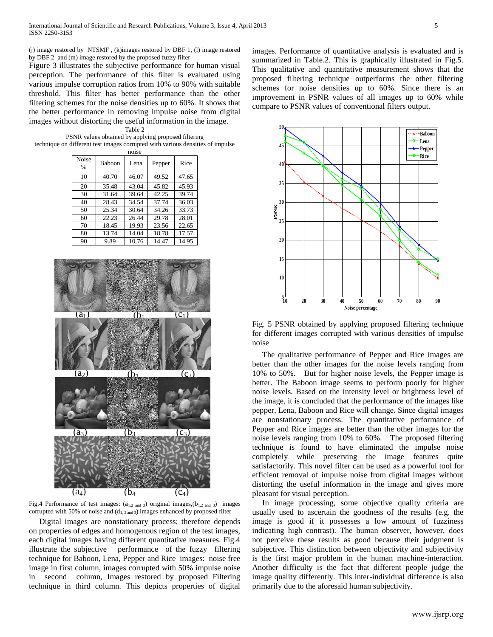(j) image restored by NTSMF , (k)images restored by DBF 1, (l) image restored by DBF 2 and (m) image restored by the proposed fuzzy filter

Figure 3 illustrates the subjective performance for human visual perception. The performance of this filter is evaluated using various impulse corruption ratios from 10% to 90% with suitable threshold. This filter has better performance than the other filtering schemes for the noise densities up to 60%. It shows that the better performance in removing impulse noise from digital images without distorting the useful information in the image.

Table 2

PSNR values obtained by applying proposed filtering technique on different test images corrupted with various densities of impulse

| noise         |               |       |        |       |  |  |  |  |
|---------------|---------------|-------|--------|-------|--|--|--|--|
| Noise<br>$\%$ | <b>Baboon</b> | Lena  | Pepper | Rice  |  |  |  |  |
| 10            | 40.70         | 46.07 | 49.52  | 47.65 |  |  |  |  |
| 20            | 35.48         | 43.04 | 45.82  | 45.93 |  |  |  |  |
| 30            | 31.64         | 39.64 | 42.25  | 39.74 |  |  |  |  |
| 40            | 28.43         | 34.54 | 37.74  | 36.03 |  |  |  |  |
| 50            | 25.34         | 30.64 | 34.26  | 33.73 |  |  |  |  |
| 60            | 22.23         | 26.44 | 29.78  | 28.01 |  |  |  |  |
| 70            | 18.45         | 19.93 | 23.56  | 22.65 |  |  |  |  |
| 80            | 13.74         | 14.04 | 18.78  | 17.57 |  |  |  |  |
| 90            | 9.89          | 10.76 | 14.47  | 14.95 |  |  |  |  |



Fig.4 Performance of test images:  $(a_{1,2 \text{ and } 3})$  original images,  $(b_{1,2 \text{ and } 3})$  images corrupted with 50% of noise and  $(d_{1, 2 \text{ and } 3})$  images enhanced by proposed filter

 Digital images are nonstationary process; therefore depends on properties of edges and homogenous region of the test images, each digital images having different quantitative measures. Fig.4 illustrate the subjective performance of the fuzzy filtering technique for Baboon, Lena, Pepper and Rice images: noise free image in first column, images corrupted with 50% impulse noise in second column, Images restored by proposed Filtering technique in third column. This depicts properties of digital

images. Performance of quantitative analysis is evaluated and is summarized in Table.2. This is graphically illustrated in Fig.5. This qualitative and quantitative measurement shows that the proposed filtering technique outperforms the other filtering schemes for noise densities up to 60%. Since there is an improvement in PSNR values of all images up to 60% while compare to PSNR values of conventional filters output.



Fig. 5 PSNR obtained by applying proposed filtering technique for different images corrupted with various densities of impulse noise

 The qualitative performance of Pepper and Rice images are better than the other images for the noise levels ranging from 10% to 50%. But for higher noise levels, the Pepper image is better. The Baboon image seems to perform poorly for higher noise levels. Based on the intensity level or brightness level of the image, it is concluded that the performance of the images like pepper, Lena, Baboon and Rice will change. Since digital images are nonstationary process. The quantitative performance of Pepper and Rice images are better than the other images for the noise levels ranging from 10% to 60%. The proposed filtering technique is found to have eliminated the impulse noise completely while preserving the image features quite satisfactorily. This novel filter can be used as a powerful tool for efficient removal of impulse noise from digital images without distorting the useful information in the image and gives more pleasant for visual perception.

 In image processing, some objective quality criteria are usually used to ascertain the goodness of the results (e.g. the image is good if it possesses a low amount of fuzziness indicating high contrast). The human observer, however, does not perceive these results as good because their judgment is subjective. This distinction between objectivity and subjectivity is the first major problem in the human machine-interaction. Another difficulty is the fact that different people judge the image quality differently. This inter-individual difference is also primarily due to the aforesaid human subjectivity.